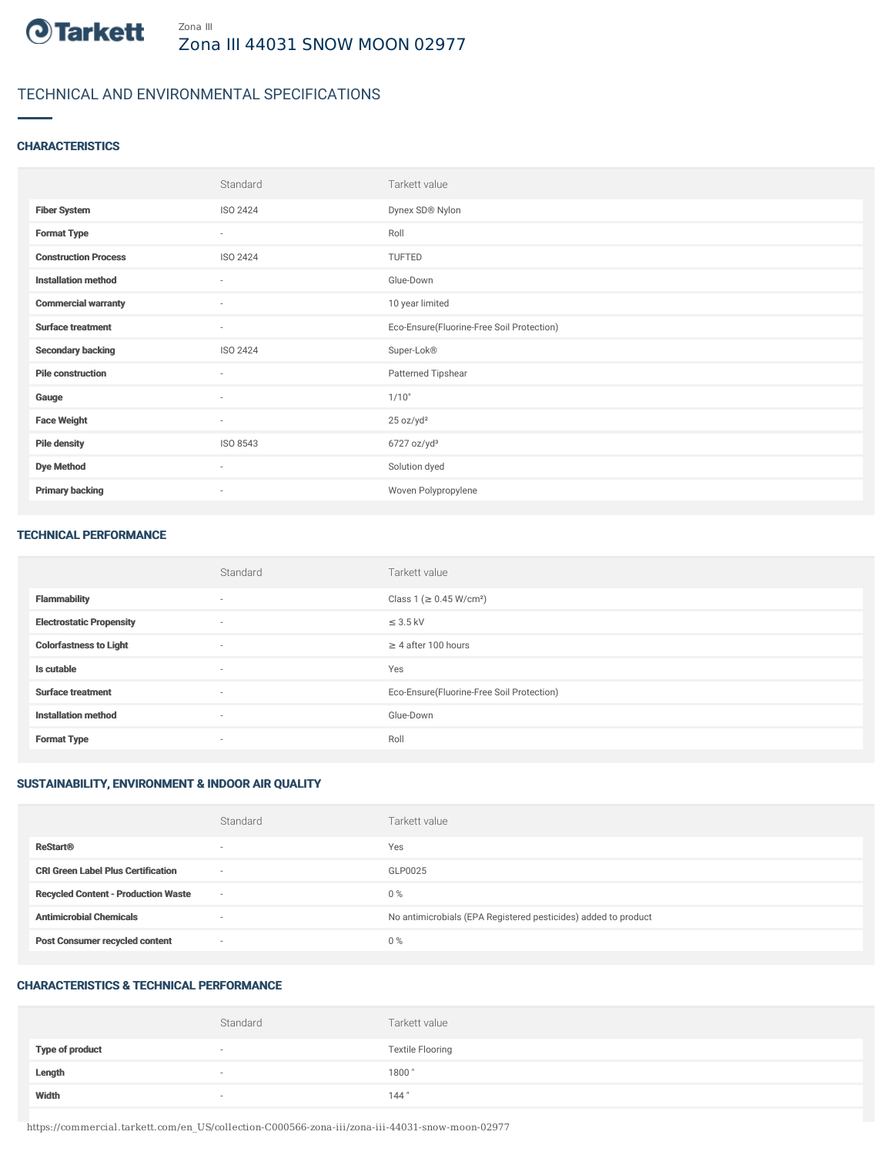

# TECHNICAL AND ENVIRONMENTAL SPECIFICATIONS

### **CHARACTERISTICS**

|                             | Standard                 | Tarkett value                             |
|-----------------------------|--------------------------|-------------------------------------------|
| <b>Fiber System</b>         | ISO 2424                 | Dynex SD® Nylon                           |
| <b>Format Type</b>          | $\overline{\phantom{a}}$ | Roll                                      |
| <b>Construction Process</b> | ISO 2424                 | TUFTED                                    |
| <b>Installation method</b>  | $\sim$                   | Glue-Down                                 |
| <b>Commercial warranty</b>  | $\sim$                   | 10 year limited                           |
| <b>Surface treatment</b>    | $\sim$                   | Eco-Ensure(Fluorine-Free Soil Protection) |
| <b>Secondary backing</b>    | ISO 2424                 | Super-Lok®                                |
| <b>Pile construction</b>    | $\sim$                   | Patterned Tipshear                        |
| Gauge                       | $\overline{\phantom{a}}$ | 1/10"                                     |
| <b>Face Weight</b>          | $\overline{\phantom{a}}$ | 25 oz/yd <sup>2</sup>                     |
| <b>Pile density</b>         | ISO 8543                 | 6727 oz/yd <sup>3</sup>                   |
| <b>Dye Method</b>           | $\overline{\phantom{a}}$ | Solution dyed                             |
| <b>Primary backing</b>      | $\sim$                   | Woven Polypropylene                       |

#### TECHNICAL PERFORMANCE

|                                 | Standard                 | Tarkett value                             |
|---------------------------------|--------------------------|-------------------------------------------|
| <b>Flammability</b>             | $\overline{\phantom{a}}$ | Class 1 (≥ 0.45 W/cm <sup>2</sup> )       |
| <b>Electrostatic Propensity</b> | $\sim$                   | $\leq$ 3.5 kV                             |
| <b>Colorfastness to Light</b>   | $\sim$                   | $\geq$ 4 after 100 hours                  |
| Is cutable                      | $\sim$                   | Yes                                       |
| <b>Surface treatment</b>        | $\sim$                   | Eco-Ensure(Fluorine-Free Soil Protection) |
| <b>Installation method</b>      | $\overline{\phantom{a}}$ | Glue-Down                                 |
| <b>Format Type</b>              | $\sim$                   | Roll                                      |

## SUSTAINABILITY, ENVIRONMENT & INDOOR AIR QUALITY

|                                            | Standard                 | Tarkett value                                                  |
|--------------------------------------------|--------------------------|----------------------------------------------------------------|
| <b>ReStart®</b>                            | $\overline{\phantom{a}}$ | Yes                                                            |
| <b>CRI Green Label Plus Certification</b>  | $\sim$                   | GLP0025                                                        |
| <b>Recycled Content - Production Waste</b> | $\sim$                   | $0\%$                                                          |
| <b>Antimicrobial Chemicals</b>             | -                        | No antimicrobials (EPA Registered pesticides) added to product |
| <b>Post Consumer recycled content</b>      | $\sim$                   | $0\%$                                                          |

## CHARACTERISTICS & TECHNICAL PERFORMANCE

|                        | Standard                 | Tarkett value           |
|------------------------|--------------------------|-------------------------|
| <b>Type of product</b> | $\overline{\phantom{a}}$ | <b>Textile Flooring</b> |
| Length                 | $\overline{\phantom{a}}$ | 1800"                   |
| Width                  | $\sim$                   | 144"                    |

https://commercial.tarkett.com/en\_US/collection-C000566-zona-iii/zona-iii-44031-snow-moon-02977